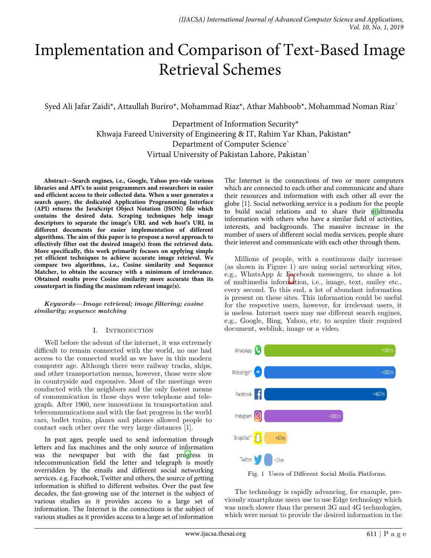# Implementation and Comparison of Text-Based Image Retrieval Schemes

Syed Ali Jafar Zaidi\*, Attaullah Buriro\*, Mohammad Riaz\*, Athar Mahboob\*, Mohammad Noman Riaz`

Department of Information Security\* Khwaja Fareed University of Engineering & IT, Rahim Yar Khan, Pakistan\* Department of Computer Science` Virtual University of Pakistan Lahore, Pakistan`

**Abstract—Search engines, i.e., Google, Yahoo pro-vide various libraries and API's to assist programmers and researchers in easier and efficient access to their collected data. When a user generates a search query, the dedicated Application Programming Interface (API) returns the JavaScript Object Notation (JSON) file which contains the desired data. Scraping techniques help image descriptors to separate the image's URL and web host's URL in different documents for easier implementation of different algorithms. The aim of this paper is to propose a novel approach to effectively filter out the desired image(s) from the retrieved data. More specifically, this work primarily focuses on applying simple yet efficient techniques to achieve accurate image retrieval. We compare two algorithms, i.e., Cosine similarity and Sequence Matcher, to obtain the accuracy with a minimum of irrelevance. Obtained results prove Cosine similarity more accurate than its counterpart in finding the maximum relevant image(s).**

*Keywords***—***Image retrieval; image filtering; cosine similarity; sequence matching*

## I. INTRODUCTION

Well before the advent of the internet, it was extremely difficult to remain connected with the world, no one had access to the connected world as we have in this modern computer age. Although there were railway tracks, ships, and other transportation means, however, those were slow in countryside and expensive. Most of the meetings were conducted with the neighbors and the only fastest means of communication in those days were telephone and telegraph. After 1960, new innovations in transportation and telecommunications and with the fast progress in the world cars, bullet trains, planes and phones allowed people to contact each other over the very large distances [1].

In past ages, people used to send information through letters and fax machines and the only source of information was the newspaper but with the fast pr[ogr](#page-6-0)ess in telecommunication field the letter and telegraph is mostly overridden by the emails and different social networking services. e.g. Facebook, Twitter and others, the source of getting information is shifted to different websites. Over the past few decades, the fast-growing use of the internet is the subject of various studies as it provides access to a large set of information. The Internet is the connections is the subject of various studies as it provides access to a large set of information

The Internet is the connections of two or more computers which are connected to each other and communicate and share their resources and information with each other all over the globe [1]. Social networking service is a podium for the people to build social relations and to share their [mu](#page-6-0)ltimedia information with others who have a similar field of activities, interests, and backgrounds. The massive increase in the number of users of different social media services, people share their interest and communicate with each other through them.

Millions of people, with a continuous daily increase (as shown in Figure 1) are using social networking sites, e.g., WhatsApp & Facebook messengers, to share a lot of multimedia infor[ma](#page-0-0)tion, i.e., image, text, smiley etc., every second. To this end, a lot of abundant information is present on these sites. This information could be useful for the respective users, however, for irrelevant users, it is useless. Internet users may use different search engines, e.g., Google, Bing, Yahoo, etc. to acquire their required document, weblink, image or a video.

<span id="page-0-0"></span>

Fig. 1 Users of Different Social Media Platforms.

The technology is rapidly advancing, for example, previously smartphone users use to use Edge technology which was much slower than the present 3G and 4G technologies, which were meant to provide the desired information in the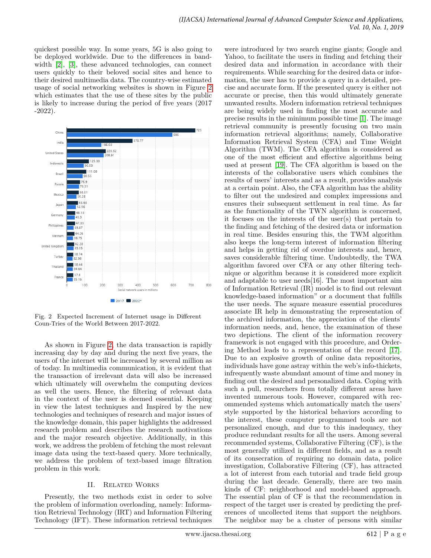quickest possible way. In some years, 5G is also going to be deployed worldwide. Due to the differences in bandwidth [\[2\]](#page-6-1), [\[3\]](#page-6-2), these advanced technologies, can connect users quickly to their beloved social sites and hence to their desired multimedia data. The country-wise estimated usage of social networking websites is shown in Figure [2](#page-1-0) which estimates that the use of these sites by the public is likely to increase during the period of five years (2017 -2022).

<span id="page-1-0"></span>

Fig. 2 Expected Increment of Internet usage in Different Coun-Tries of the World Between 2017-2022.

As shown in Figure [2,](#page-1-0) the data transaction is rapidly increasing day by day and during the next five years, the users of the internet will be increased by several million as of today. In multimedia communication, it is evident that the transaction of irrelevant data will also be increased which ultimately will overwhelm the computing devices as well the users. Hence, the filtering of relevant data in the context of the user is deemed essential. Keeping in view the latest techniques and Inspired by the new technologies and techniques of research and major issues of the knowledge domain, this paper highlights the addressed research problem and describes the research motivations and the major research objective. Additionally, in this work, we address the problem of fetching the most relevant image data using the text-based query. More technically, we address the problem of text-based image filtration problem in this work.

## II. Related Works

Presently, the two methods exist in order to solve the problem of information overloading, namely: Information Retrieval Technology (IRT) and Information Filtering Technology (IFT). These information retrieval techniques

were introduced by two search engine giants; Google and Yahoo, to facilitate the users in finding and fetching their desired data and information in accordance with their requirements. While searching for the desired data or information, the user has to provide a query in a detailed, precise and accurate form. If the presented query is either not accurate or precise, then this would ultimately generate unwanted results. Modern information retrieval techniques are being widely used in finding the most accurate and precise results in the minimum possible time [\[1\]](#page-6-0). The image retrieval community is presently focusing on two main information retrieval algorithms; namely, Collaborative Information Retrieval System (CFA) and Time Weight Algorithm (TWM). The CFA algorithm is considered as one of the most efficient and effective algorithms being used at present [\[19\]](#page-7-0). The CFA algorithm is based on the interests of the collaborative users which combines the results of users' interests and as a result, provides analysis at a certain point. Also, the CFA algorithm has the ability to filter out the undesired and complex impressions and ensures their subsequent settlement in real time. As far as the functionality of the TWN algorithm is concerned, it focuses on the interests of the user(s) that pertain to the finding and fetching of the desired data or information in real time. Besides ensuring this, the TWM algorithm also keeps the long-term interest of information filtering and helps in getting rid of overdue interests and, hence, saves considerable filtering time. Undoubtedly, the TWA algorithm favored over CFA or any other filtering technique or algorithm because it is considered more explicit and adaptable to user needs[16]. The most important aim of Information Retrieval (IR) model is to find out relevant knowledge-based information" or a document that fulfills the user needs. The square measure essential procedures associate IR help in demonstrating the representation of the archived information, the appreciation of the clients' information needs, and, hence, the examination of these two depictions. The client of the information recovery framework is not engaged with this procedure, and Ordering Method leads to a representation of the record [\[17\]](#page-7-1). Due to an explosive growth of online data repositories, individuals have gone astray within the web's info-thickets, infrequently waste abundant amount of time and money in finding out the desired and personalized data. Coping with such a pull, researchers from totally different areas have invented numerous tools. However, compared with recommended systems which automatically match the users' style supported by the historical behaviors according to the interest, these computer programmed tools are not personalized enough, and due to this inadequacy, they produce redundant results for all the users. Among several recommended systems, Collaborative Filtering (CF), is the most generally utilized in different fields, and as a result of its consecration of requiring no domain data, police investigation, Collaborative Filtering (CF), has attracted a lot of interest from each tutorial and trade field group during the last decade. Generally, there are two main kinds of CF: neighborhood and model-based approach. The essential plan of CF is that the recommendation in respect of the target user is created by predicting the preferences of uncollected items that support the neighbors. The neighbor may be a cluster of persons with similar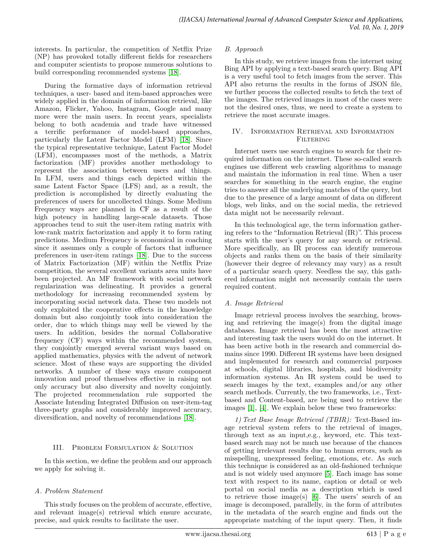interests. In particular, the competition of Netflix Prize (NP) has provoked totally different fields for researchers and computer scientists to propose numerous solutions to build corresponding recommended systems [\[18\]](#page-7-2).

During the formative days of information retrieval techniques, a user- based and item-based approaches were widely applied in the domain of information retrieval, like Amazon, Flicker, Yahoo, Instagram, Google and many more were the main users. In recent years, specialists belong to both academia and trade have witnessed a terrific performance of model-based approaches, particularly the Latent Factor Model (LFM) [\[18\]](#page-7-2). Since the typical representative technique, Latent Factor Model (LFM), encompasses most of the methods, a Matrix factorization (MF) provides another methodology to represent the association between users and things. In LFM, users and things each depicted within the same Latent Factor Space (LFS) and, as a result, the prediction is accomplished by directly evaluating the preferences of users for uncollected things. Some Medium Frequency ways are planned in CF as a result of the high potency in handling large-scale datasets. Those approaches tend to suit the user-item rating matrix with low-rank matrix factorization and apply it to form rating predictions. Medium Frequency is economical in coaching since it assumes only a couple of factors that influence preferences in user-item ratings [\[18\]](#page-7-2). Due to the success of Matrix Factorization (MF) within the Netflix Prize competition, the several excellent variants area units have been projected. An MF framework with social network regularization was delineating. It provides a general methodology for increasing recommended system by incorporating social network data. These two models not only exploited the cooperative effects in the knowledge domain but also conjointly took into consideration the order, due to which things may well be viewed by the users. In addition, besides the normal Collaborative frequency (CF) ways within the recommended system, they conjointly emerged several variant ways based on applied mathematics, physics with the advent of network science. Most of these ways are supporting the divided networks. A number of these ways ensure component innovation and proof themselves effective in raising not only accuracy but also diversity and novelty conjointly. The projected recommendation rule supported the Associate Intending Integrated Diffusion on user-item-tag three-party graphs and considerably improved accuracy, diversification, and novelty of recommendations [\[18\]](#page-7-2).

## III. PROBLEM FORMULATION & SOLUTION

In this section, we define the problem and our approach we apply for solving it.

## *A. Problem Statement*

This study focuses on the problem of accurate, effective, and relevant image(s) retrieval which ensure accurate, precise, and quick results to facilitate the user.

## *B. Approach*

In this study, we retrieve images from the internet using Bing API by applying a text-based search query. Bing API is a very useful tool to fetch images from the server. This API also returns the results in the forms of JSON file, we further process the collected results to fetch the text of the images. The retrieved images in most of the cases were not the desired ones, thus, we need to create a system to retrieve the most accurate images.

## IV. Information Retrieval and Information **FILTERING**

Internet users use search engines to search for their required information on the internet. These so-called search engines use different web crawling algorithms to manage and maintain the information in real time. When a user searches for something in the search engine, the engine tries to answer all the underlying matches of the query, but due to the presence of a large amount of data on different blogs, web links, and on the social media, the retrieved data might not be necessarily relevant.

In this technological age, the term information gathering refers to the "Information Retrieval (IR)". This process starts with the user's query for any search or retrieval. More specifically, an IR process can identify numerous objects and ranks them on the basis of their similarity (however their degree of relevancy may vary) as a result of a particular search query. Needless the say, this gathered information might not necessarily contain the users required content.

## *A. Image Retrieval*

Image retrieval process involves the searching, browsing and retrieving the image $(s)$  from the digital image databases. Image retrieval has been the most attractive and interesting task the users would do on the internet. It has been active both in the research and commercial domains since 1990. Different IR systems have been designed and implemented for research and commercial purposes at schools, digital libraries, hospitals, and biodiversity information systems. An IR system could be used to search images by the text, examples and/or any other search methods. Currently, the two frameworks, i.e., Textbased and Content-based, are being used to retrieve the images [\[1\]](#page-6-0), [\[4\]](#page-6-3). We explain below these two frameworks:

*1) Text Base Image Retrieval (TBIR):* Text-Based image retrieval system refers to the retrieval of images, through text as an input,e.g., keyword, etc. This textbased search may not be much use because of the chances of getting irrelevant results due to human errors, such as misspelling, unexpressed feeling, emotions, etc. As such this technique is considered as an old-fashioned technique and is not widely used anymore [\[5\]](#page-6-4). Each image has some text with respect to its name, caption or detail or web portal on social media as a description which is used to retrieve those image(s) [\[6\]](#page-6-5). The users' search of an image is decomposed, parallelly, in the form of attributes in the metadata of the search engine and finds out the appropriate matching of the input query. Then, it finds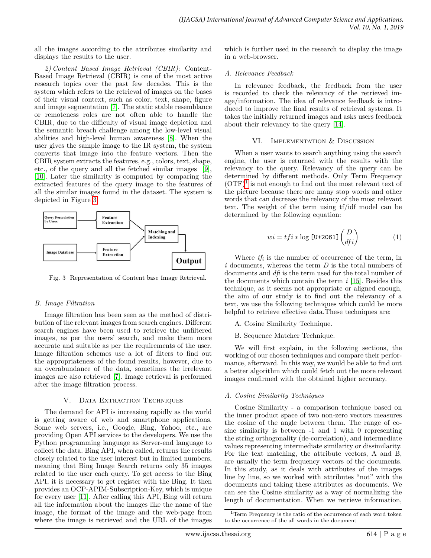all the images according to the attributes similarity and displays the results to the user.

*2) Content Based Image Retrieval (CBIR):* Content-Based Image Retrieval (CBIR) is one of the most active research topics over the past few decades. This is the system which refers to the retrieval of images on the bases of their visual context, such as color, text, shape, figure and image segmentation [\[7\]](#page-6-6). The static stable resemblance or remoteness roles are not often able to handle the CBIR, due to the difficulty of visual image depiction and the semantic breach challenge among the low-level visual abilities and high-level human awareness [\[8\]](#page-6-7). When the user gives the sample image to the IR system, the system converts that image into the feature vectors. Then the CBIR system extracts the features, e.g., colors, text, shape, etc., of the query and all the fetched similar images [\[9\]](#page-6-8), [\[10\]](#page-6-9). Later the similarity is computed by comparing the extracted features of the query image to the features of all the similar images found in the dataset. The system is depicted in Figure [3.](#page-3-0)

<span id="page-3-0"></span>

Fig. 3 Representation of Content base Image Retrieval.

## *B. Image Filtration*

Image filtration has been seen as the method of distribution of the relevant images from search engines. Different search engines have been used to retrieve the unfiltered images, as per the users' search, and make them more accurate and suitable as per the requirements of the user. Image filtration schemes use a lot of filters to find out the appropriateness of the found results, however, due to an overabundance of the data, sometimes the irrelevant images are also retrieved [\[7\]](#page-6-6). Image retrieval is performed after the image filtration process.

## V. DATA EXTRACTION TECHNIQUES

The demand for API is increasing rapidly as the world is getting aware of web and smartphone applications. Some web servers, i.e., Google, Bing, Yahoo, etc., are providing Open API services to the developers. We use the Python programming language as Server-end language to collect the data. Bing API, when called, returns the results closely related to the user interest but in limited numbers, meaning that Bing Image Search returns only 35 images related to the user each query. To get access to the Bing API, it is necessary to get register with the Bing. It then provides an OCP-APIM-Subscription-Key, which is unique for every user [\[11\]](#page-6-10). After calling this API, Bing will return all the information about the images like the name of the image, the format of the image and the web-page from where the image is retrieved and the URL of the images

which is further used in the research to display the image in a web-browser.

## *A. Relevance Feedback*

In relevance feedback, the feedback from the user is recorded to check the relevancy of the retrieved image/information. The idea of relevance feedback is introduced to improve the final results of retrieval systems. It takes the initially returned images and asks users feedback about their relevancy to the query [\[14\]](#page-7-3).

## VI. Implementation & Discussion

When a user wants to search anything using the search engine, the user is returned with the results with the relevancy to the query. Relevancy of the query can be determined by different methods. Only Term Frequency  $(OTF)^1$  $(OTF)^1$  is not enough to find out the most relevant text of the picture because there are many stop words and other words that can decrease the relevancy of the most relevant text. The weight of the term using tf/idf model can be determined by the following equation:

$$
wi = t f i * \log \left[ \text{U+2061} \right] \binom{D}{df i}
$$
 (1)

Where  $tf_i$  is the number of occurrence of the term, in *i* documents, whereas the term *D* is the total numbers of documents and *dfi* is the term used for the total number of the documents which contain the term *i* [\[15\]](#page-7-4). Besides this technique, as it seems not appropriate or aligned enough, the aim of our study is to find out the relevancy of a text, we use the following techniques which could be more helpful to retrieve effective data. These techniques are:

A. Cosine Similarity Technique.

B. Sequence Matcher Technique.

We will first explain, in the following sections, the working of our chosen techniques and compare their performance, afterward. In this way, we would be able to find out a better algorithm which could fetch out the more relevant images confirmed with the obtained higher accuracy.

## *A. Cosine Similarity Techniques*

Cosine Similarity - a comparison technique based on the inner product space of two non-zero vectors measures the cosine of the angle between them. The range of cosine similarity is between -1 and 1 with 0 representing the string orthogonality (de-correlation), and intermediate values representing intermediate similarity or dissimilarity. For the text matching, the attribute vectors, A and B, are usually the term frequency vectors of the documents. In this study, as it deals with attributes of the images line by line, so we worked with attributes "not" with the documents and taking these attributes as documents. We can see the Cosine similarity as a way of normalizing the length of documentation. When we retrieve information,

<span id="page-3-1"></span><sup>1</sup>Term Frequency is the ratio of the occurrence of each word token to the occurrence of the all words in the document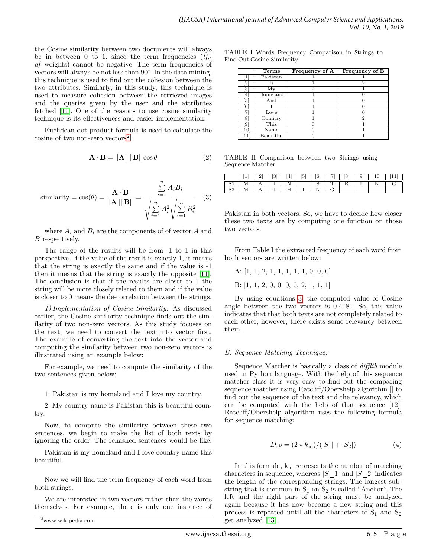the Cosine similarity between two documents will always be in between 0 to 1, since the term frequencies  $(tf_i$ *df* weights) cannot be negative. The term frequencies of vectors will always be not less than 90°. In the data mining, this technique is used to find out the cohesion between the two attributes. Similarly, in this study, this technique is used to measure cohesion between the retrieved images and the queries given by the user and the attributes fetched [\[11\]](#page-6-10). One of the reasons to use cosine similarity technique is its effectiveness and easier implementation.

Euclidean dot product formula is used to calculate the cosine of two non-zero vectors<sup>[2](#page-4-0)</sup>.

$$
\mathbf{A} \cdot \mathbf{B} = \|\mathbf{A}\| \|\mathbf{B}\| \cos \theta \tag{2}
$$

<span id="page-4-1"></span>
$$
\text{similarity} = \cos(\theta) = \frac{\mathbf{A} \cdot \mathbf{B}}{\|\mathbf{A}\| \|\mathbf{B}\|} = \frac{\sum_{i=1}^{n} A_i B_i}{\sqrt{\sum_{i=1}^{n} A_i^2} \sqrt{\sum_{i=1}^{n} B_i^2}}
$$
(3)

where  $A_i$  and  $B_i$  are the components of of vector  $A$  and *B* respectively.

The range of the results will be from -1 to 1 in this perspective. If the value of the result is exactly 1, it means that the string is exactly the same and if the value is -1 then it means that the string is exactly the opposite [\[11\]](#page-6-10). The conclusion is that if the results are closer to 1 the string will be more closely related to them and if the value is closer to 0 means the de-correlation between the strings.

*1) Implementation of Cosine Similarity:* As discussed earlier, the Cosine similarity technique finds out the similarity of two non-zero vectors. As this study focuses on the text, we need to convert the text into vector first. The example of converting the text into the vector and computing the similarity between two non-zero vectors is illustrated using an example below:

For example, we need to compute the similarity of the two sentences given below:

1. Pakistan is my homeland and I love my country.

2. My country name is Pakistan this is beautiful country.

Now, to compute the similarity between these two sentences, we begin to make the list of both texts by ignoring the order. The rehashed sentences would be like:

Pakistan is my homeland and I love country name this beautiful.

Now we will find the term frequency of each word from both strings.

We are interested in two vectors rather than the words themselves. For example, there is only one instance of

<span id="page-4-0"></span><sup>2</sup>www.wikipedia.com

| TABLE I Words Frequency Comparison in Strings to |  |  |  |
|--------------------------------------------------|--|--|--|
| Find Out Cosine Similarity                       |  |  |  |

|             | <b>Terms</b>               | Frequency of A | Frequency of B |
|-------------|----------------------------|----------------|----------------|
|             | Pakistan                   |                |                |
| $^{\circ}2$ | ls                         |                | 2              |
| 3           | My                         | $\overline{2}$ |                |
| 4           | Homeland                   |                |                |
| 5           | And                        |                |                |
| 6           |                            |                |                |
|             | Love                       |                |                |
| 8           | Country                    |                | $\mathcal{D}$  |
| 19          | This                       |                |                |
| 10          | Name                       |                |                |
|             | $\operatorname{Beautiful}$ |                |                |

TABLE II Comparison between two Strings using Sequence Matcher

|  |  |  | $S_{-}$ |  |  |  |
|--|--|--|---------|--|--|--|
|  |  |  |         |  |  |  |

Pakistan in both vectors. So, we have to decide how closer these two texts are by computing one function on those two vectors.

From Table I the extracted frequency of each word from both vectors are written below:

A: [1, 1, 2, 1, 1, 1, 1, 1, 0, 0, 0]

B: [1, 1, 2, 0, 0, 0, 0, 2, 1, 1, 1]

By using equations [3,](#page-4-1) the computed value of Cosine angle between the two vectors is 0.4181. So, this value indicates that that both texts are not completely related to each other, however, there exists some relevancy between them.

## *B. Sequence Matching Technique:*

Sequence Matcher is basically a class of *difflib* module used in Python language. With the help of this sequence matcher class it is very easy to find out the comparing sequence matcher using Ratcliff/Obershelp algorithm [] to find out the sequence of the text and the relevancy, which can be computed with the help of that sequence [12]. Ratcliff/Obershelp algorithm uses the following formula for sequence matching:

$$
D_{\rm r}o = (2 * k_{\rm m})/(|S_1| + |S_2|)
$$
 (4)

In this formula,  $k_m$  represents the number of matching characters in sequence, whereas  $|S \ 1|$  and  $|S \ 2|$  indicates the length of the corresponding strings. The longest substring that is common in  $S_1$  an  $S_2$  is called "Anchor". The left and the right part of the string must be analyzed again because it has now become a new string and this process is repeated until all the characters of  $S_1$  and  $S_2$ get analyzed [\[13\]](#page-6-11).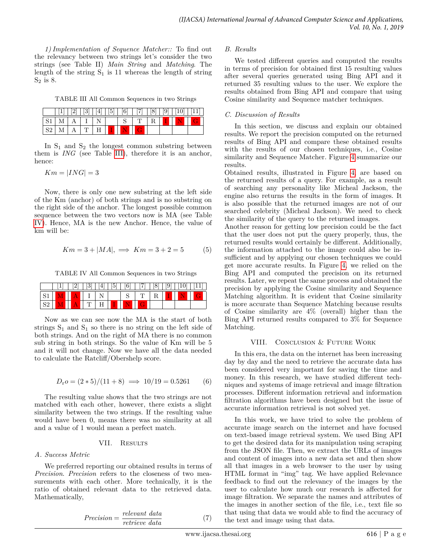*1) Implementation of Sequence Matcher::* To find out the relevancy between two strings let's consider the two strings (see Table II) *Main String* and *Matching*. The length of the string  $S_1$  is 11 whereas the length of string  $S_2$  is 8.

<span id="page-5-0"></span>TABLE III All Common Sequences in two Strings

|    |  | 14 I | ا سا<br>ΩΙ |  | U | $\overline{v}$ |  |
|----|--|------|------------|--|---|----------------|--|
| ັ  |  |      |            |  |   |                |  |
| ◡↩ |  | . .  |            |  |   |                |  |

In  $S_1$  and  $S_2$  the longest common substring between them is *ING* (see Table [III\)](#page-5-0), therefore it is an anchor, hence:

 $Km = |ING| = 3$ 

Now, there is only one new substring at the left side of the Km (anchor) of both strings and is no substring on the right side of the anchor. The longest possible common sequence between the two vectors now is MA (see Table [IV\)](#page-5-1). Hence, MA is the new Anchor. Hence, the value of km will be:

$$
Km = 3 + |MA|, \implies Km = 3 + 2 = 5 \tag{5}
$$

<span id="page-5-1"></span>TABLE IV All Common Sequences in two Strings

|     |  | 3 | $ 4 $   $ 5 $ | 6 | 8 | $ 9 $ |  |
|-----|--|---|---------------|---|---|-------|--|
|     |  |   |               |   |   |       |  |
| ⊿ י |  |   |               |   |   |       |  |

Now as we can see now the MA is the start of both strings  $S_1$  and  $S_1$  so there is no string on the left side of both strings. And on the right of MA there is no common sub string in both strings. So the value of Km will be 5 and it will not change. Now we have all the data needed to calculate the Ratcliff/Obershelp score.

$$
D_{\rm r}o = (2 * 5)/(11 + 8) \implies 10/19 = 0.5261
$$
 (6)

The resulting value shows that the two strings are not matched with each other, however, there exists a slight similarity between the two strings. If the resulting value would have been 0, means there was no similarity at all and a value of 1 would mean a perfect match.

## VII. RESULTS

## *A. Success Metric*

We preferred reporting our obtained results in terms of *Precision*. *Precision* refers to the closeness of two measurements with each other. More technically, it is the ratio of obtained relevant data to the retrieved data. Mathematically,

$$
Precision = \frac{relevant \ data}{retrieve \ data} \tag{7}
$$

## *B. Results*

We tested different queries and computed the results in terms of precision for obtained first 15 resulting values after several queries generated using Bing API and it returned 35 resulting values to the user. We explore the results obtained from Bing API and compare that using Cosine similarity and Sequence matcher techniques.

## *C. Discussion of Results*

In this section, we discuss and explain our obtained results. We report the precision computed on the returned results of Bing API and compare these obtained results with the results of our chosen techniques, i.e., Cosine similarity and Sequence Matcher. Figure [4](#page-6-12) summarize our results.

Obtained results, illustrated in Figure [4,](#page-6-12) are based on the returned results of a query. For example, as a result of searching any personality like Micheal Jackson, the engine also returns the results in the form of images. It is also possible that the returned images are not of our searched celebrity (Micheal Jackson). We need to check the similarity of the query to the returned images.

Another reason for getting low precision could be the fact that the user does not put the query properly, thus, the returned results would certainly be different. Additionally, the information attached to the image could also be insufficient and by applying our chosen techniques we could get more accurate results. In Figure [4,](#page-6-12) we relied on the Bing API and computed the precision on its returned results. Later, we repeat the same process and obtained the precision by applying the Cosine similarity and Sequence Matching algorithm. It is evident that Cosine similarity is more accurate than Sequence Matching because results of Cosine similarity are 4% (overall) higher than the Bing API returned results compared to 3% for Sequence Matching.

## VIII. Conclusion & Future Work

In this era, the data on the internet has been increasing day by day and the need to retrieve the accurate data has been considered very important for saving the time and money. In this research, we have studied different techniques and systems of image retrieval and image filtration processes. Different information retrieval and information filtration algorithms have been designed but the issue of accurate information retrieval is not solved yet.

In this work, we have tried to solve the problem of accurate image search on the internet and have focused on text-based image retrieval system. We used Bing API to get the desired data for its manipulation using scraping from the JSON file. Then, we extract the URLs of images and content of images into a new data set and then show all that images in a web browser to the user by using HTML format in "img" tag. We have applied Relevance feedback to find out the relevancy of the images by the user to calculate how much our research is affected for image filtration. We separate the names and attributes of the images in another section of the file, i.e., text file so that using that data we would able to find the accuracy of the text and image using that data.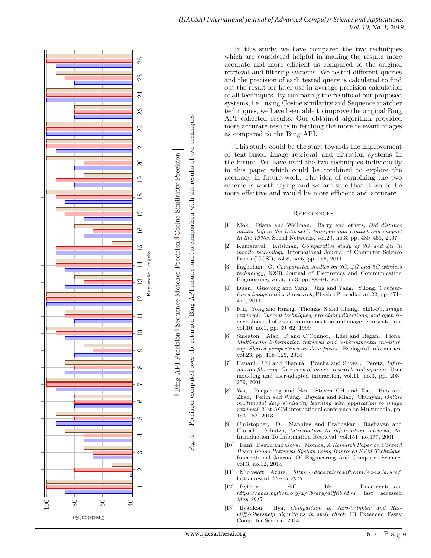<span id="page-6-12"></span>

In this study, we have compared the two techniques which are considered helpful in making the results more accurate and more efficient as compared to the original retrieval and filtering systems. We tested different queries and the precision of each tested query is calculated to find out the result for later use in average precision calculation of all techniques. By comparing the results of our proposed systems, i.e., using Cosine similarity and Sequence matcher techniques, we have been able to improve the original Bing API collected results. Our obtained algorithm provided more accurate results in fetching the more relevant images as compared to the Bing API.

This study could be the start towards the improvement of text-based image retrieval and filtration systems in the future. We have used the two techniques individually in this paper which could be combined to explore the accuracy in future work. The idea of combining the two scheme is worth trying and we are sure that it would be more effective and would be more efficient and accurate.

#### **REFERENCES**

- <span id="page-6-0"></span>[1] Mok, Diana and Wellman, Barry and others, *Did distance matter before the Internet?: Interpersonal contact and support in the 1970s*, Social Networks, vol.29, no.3, pp. 430–461, 2007
- <span id="page-6-1"></span>[2] Kumaravel, Krishnan, *Comparative study of 3G and 4G in mobile technology*, International Journal of Computer Science Issues (IJCSI), vol.8, no.5, pp. 256, 2011
- <span id="page-6-2"></span>[3] Fagbohun, O, *Comparative studies on 3G, 4G and 5G wireless technology*, IOSR Journal of Electronics and Communication Engineering, vol.9, no.3, pp. 88–94, 2014
- <span id="page-6-3"></span>[4] Duan, Guoyong and Yang, Jing and Yang, Yilong, *Contentbased image retrieval research*, Physics Procedia, vol.22, pp. 471– 477, 2011
- <span id="page-6-4"></span>[5] Rui, Yong and Huang, Thomas S and Chang, Shih-Fu, *Image retrieval: Current techniques, promising directions, and open issues*, Journal of visual communication and image representation, vol.10, no.1, pp. 39–62, 1999
- <span id="page-6-5"></span>[6] Smeaton, Alan F and O'Connor, Edel and Regan, Fiona, *Multimedia information retrieval and environmental monitoring: Shared perspectives on data fusion*, Ecological informatics, vol.23, pp. 118–125, 2014
- <span id="page-6-6"></span>[7] Hanani, Uri and Shapira, Bracha and Shoval, Peretz, *Information filtering: Overview of issues, research and systems*, User modeling and user-adapted interaction, vol.11, no.3, pp. 203– 259, 2001
- <span id="page-6-7"></span>[8] Wu, Pengcheng and Hoi, Steven CH and Xia, Hao and Zhao, Peilin and Wang, Dayong and Miao, Chunyan, *Online multimodal deep similarity learning with application to image retrieval*, 21st ACM international conference on Multimedia, pp. 153–162, 2013
- <span id="page-6-8"></span>[9] Christopher, D. Manning and Prabhakar, Raghavan and Hinrich, Schutza, *Introduction to information retrieval*, An Introduction To Information Retrieval, vol.151, no.177, 2001
- <span id="page-6-9"></span>[10] Rani, Deepu and Goyal, Monica, *A Research Paper on Content Based Image Retrieval System using Improved SVM Technique* , International Journal Of Engineering And Computer Science, vol.3, no.12, 2014
- <span id="page-6-10"></span>[11] Microsoft Azure, *https://docs.microsoft.com/en-us/azure/*, last accessed *March 2017*
- [12] Python diff lib Documentation, *https://docs.python.org/2/library/difflib.html*, last accessed *May 2017*
- <span id="page-6-11"></span>[13] Ilyankou, Ilya, *Comparison of Jaro-Winkler and Ratcliff/Obershelp algorithms in spell check*, IB Extended Essay Computer Science, 2014

Fig. 4 Precision computed over the returned Bing API results and its comparison with the results of two techniques

 $\overline{4}$ Fig.